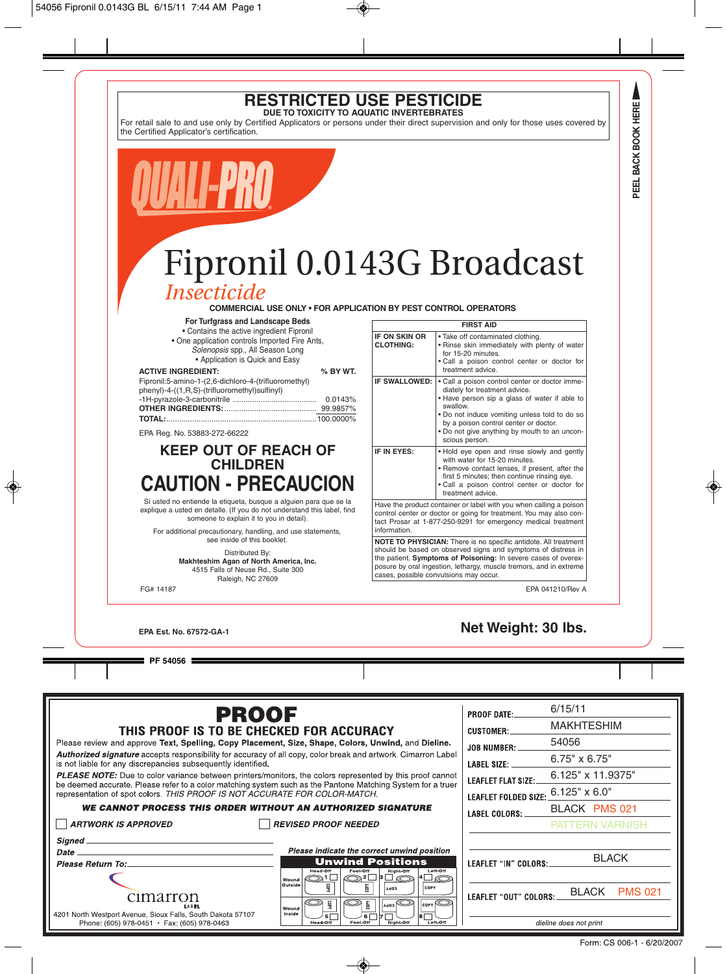### **RESTRICTED USE PESTICIDE DUE TO TOXICITY TO AQUATIC INVERTEBRATES**

For retail sale to and use only by Certified Applicators or persons under their direct supervision and only for those uses covered by the Certified Applicator's certification.

# Fipronil 0.0143G Broadcast *Insecticide*

**COMMERCIAL USE ONLY • FOR APPLICATION BY PEST CONTROL OPERATORS**

#### **For Turfgrass and Landscape Beds**

• Contains the active ingredient Fipronil

• One application controls Imported Fire Ants,

Solenopsis spp., All Season Long

• Application is Quick and Easy

| <b>ACTIVE INGREDIENT:</b>                            | % BY WT. |
|------------------------------------------------------|----------|
| Fipronil:5-amino-1-(2,6-dichloro-4-(trifluoromethyl) |          |
| phenyl)-4-((1,R,S)-(trifluoromethyl)sulfinyl)        |          |
|                                                      | 0.0143%  |
|                                                      |          |
|                                                      |          |
|                                                      |          |

EPA Reg. No. 53883-272-66222

## **KEEP OUT OF REACH OF CHILDREN CAUTION - PRECAUCION**

Si usted no entiende la etiqueta, busque a alguien para que se la explique a usted en detalle. (If you do not understand this label, find someone to explain it to you in detail).

For additional precautionary, handling, and use statements, see inside of this booklet.

> Distributed By: **Makhteshim Agan of North America, Inc.** 4515 Falls of Neuse Rd., Suite 300 Raleigh, NC 27609

| <b>FIRST AID</b>                                                                                                                                                                                                                                                                                                   |                                                                                                                                                                                                                                                                                                          |  |
|--------------------------------------------------------------------------------------------------------------------------------------------------------------------------------------------------------------------------------------------------------------------------------------------------------------------|----------------------------------------------------------------------------------------------------------------------------------------------------------------------------------------------------------------------------------------------------------------------------------------------------------|--|
| <b>IF ON SKIN OR</b><br><b>CLOTHING:</b>                                                                                                                                                                                                                                                                           | . Take off contaminated clothing.<br>. Rinse skin immediately with plenty of water<br>for 15-20 minutes.<br>. Call a poison control center or doctor for<br>treatment advice.                                                                                                                            |  |
| IF SWALLOWED:                                                                                                                                                                                                                                                                                                      | . Call a poison control center or doctor imme-<br>diately for treatment advice.<br>. Have person sip a glass of water if able to<br>swallow.<br>. Do not induce vomiting unless told to do so<br>by a poison control center or doctor.<br>. Do not give anything by mouth to an uncon-<br>scious person. |  |
| IF IN EYES:                                                                                                                                                                                                                                                                                                        | . Hold eye open and rinse slowly and gently<br>with water for 15-20 minutes.<br>. Remove contact lenses, if present, after the<br>first 5 minutes; then continue rinsing eye.<br>. Call a poison control center or doctor for<br>treatment advice.                                                       |  |
| Have the product container or label with you when calling a poison<br>control center or doctor or going for treatment. You may also con-<br>tact Prosar at 1-877-250-9291 for emergency medical treatment<br>information.                                                                                          |                                                                                                                                                                                                                                                                                                          |  |
| NOTE TO PHYSICIAN: There is no specific antidote. All treatment<br>should be based on observed signs and symptoms of distress in<br>the patient. Symptoms of Poisoning: In severe cases of overex-<br>posure by oral ingestion, lethargy, muscle tremors, and in extreme<br>cases, possible convulsions may occur. |                                                                                                                                                                                                                                                                                                          |  |

FG# 14187 EPA 041210/Rev A

## **EPA Est. No. 67572-GA-1 Net Weight: 30 lbs.**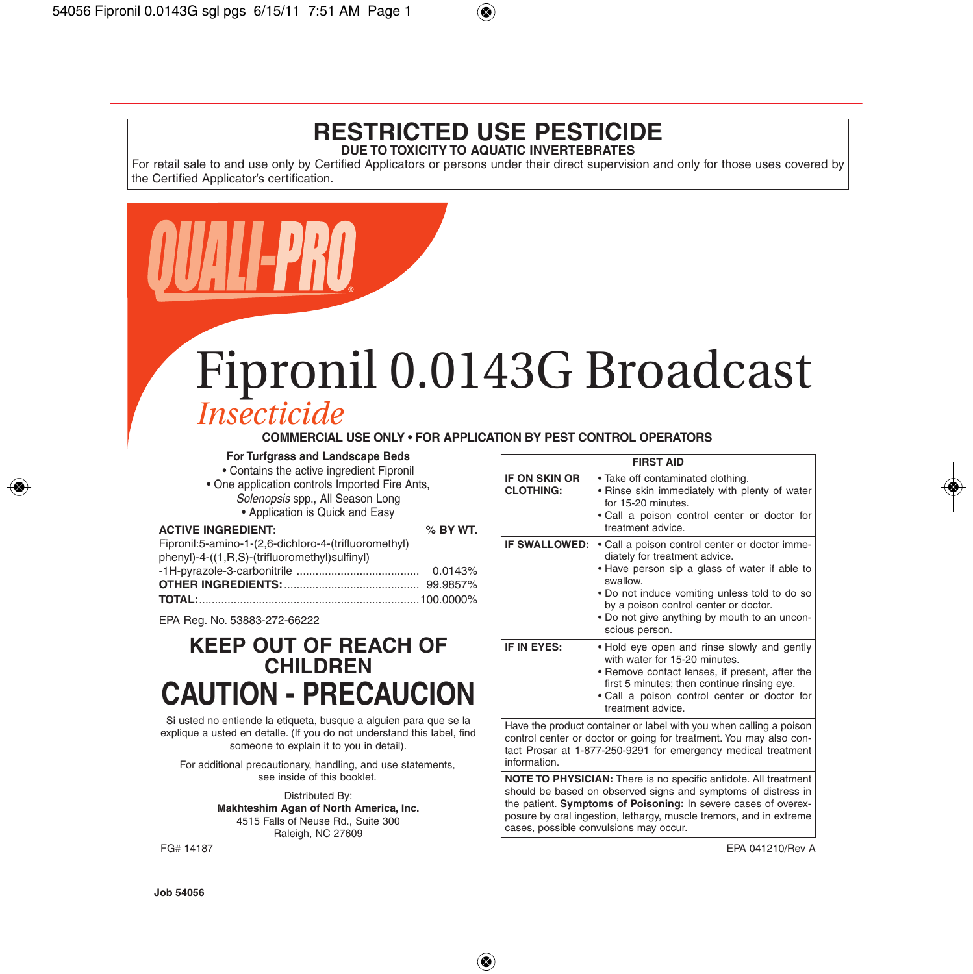### **RESTRICTED USE PESTICIDE DUE TO TOXICITY TO AQUATIC INVERTEBRATES**

For retail sale to and use only by Certified Applicators or persons under their direct supervision and only for those uses covered by the Certified Applicator's certification.

# Fipronil 0.0143G Broadcast *Insecticide*

#### **COMMERCIAL USE ONLY • FOR APPLICATION BY PEST CONTROL OPERATORS**

#### **For Turfgrass and Landscape Beds**

- Contains the active ingredient Fipronil
- One application controls Imported Fire Ants, Solenopsis spp., All Season Long

• Application is Quick and Easy

#### **ACTIVE INGREDIENT:**  $\frac{1}{2}$

| Fipronil:5-amino-1-(2,6-dichloro-4-(trifluoromethyl) |         |
|------------------------------------------------------|---------|
| phenyl)-4-((1,R,S)-(trifluoromethyl)sulfinyl)        |         |
|                                                      | 0.0143% |
|                                                      |         |
|                                                      |         |

EPA Reg. No. 53883-272-66222

# **KEEP OUT OF REACH OF CHILDREN CAUTION - PRECAUCION**

Si usted no entiende la etiqueta, busque a alguien para que se la explique a usted en detalle. (If you do not understand this label, find someone to explain it to you in detail).

For additional precautionary, handling, and use statements, see inside of this booklet.

> Distributed By: **Makhteshim Agan of North America, Inc.** 4515 Falls of Neuse Rd., Suite 300 Raleigh, NC 27609

| <b>FIRST AID</b>                                                                                                                         |                                                                                                                                                                                                                                                                                                          |  |
|------------------------------------------------------------------------------------------------------------------------------------------|----------------------------------------------------------------------------------------------------------------------------------------------------------------------------------------------------------------------------------------------------------------------------------------------------------|--|
| <b>IF ON SKIN OR</b><br><b>CLOTHING:</b>                                                                                                 | . Take off contaminated clothing.<br>. Rinse skin immediately with plenty of water<br>for 15-20 minutes.<br>. Call a poison control center or doctor for<br>treatment advice.                                                                                                                            |  |
| <b>IF SWALLOWED:</b>                                                                                                                     | . Call a poison control center or doctor imme-<br>diately for treatment advice.<br>• Have person sip a glass of water if able to<br>swallow.<br>. Do not induce vomiting unless told to do so<br>by a poison control center or doctor.<br>. Do not give anything by mouth to an uncon-<br>scious person. |  |
| IF IN EYES:                                                                                                                              | . Hold eye open and rinse slowly and gently<br>with water for 15-20 minutes.<br>• Remove contact lenses, if present, after the<br>first 5 minutes; then continue rinsing eye.<br>. Call a poison control center or doctor for<br>treatment advice.                                                       |  |
| Have the product container or label with you when calling a poison<br>control center or doctor or going for treatment. You may also con- |                                                                                                                                                                                                                                                                                                          |  |

tact Prosar at 1-877-250-9291 for emergency medical treatment information.

**NOTE TO PHYSICIAN:** There is no specific antidote. All treatment should be based on observed signs and symptoms of distress in the patient. **Symptoms of Poisoning:** In severe cases of overexposure by oral ingestion, lethargy, muscle tremors, and in extreme cases, possible convulsions may occur.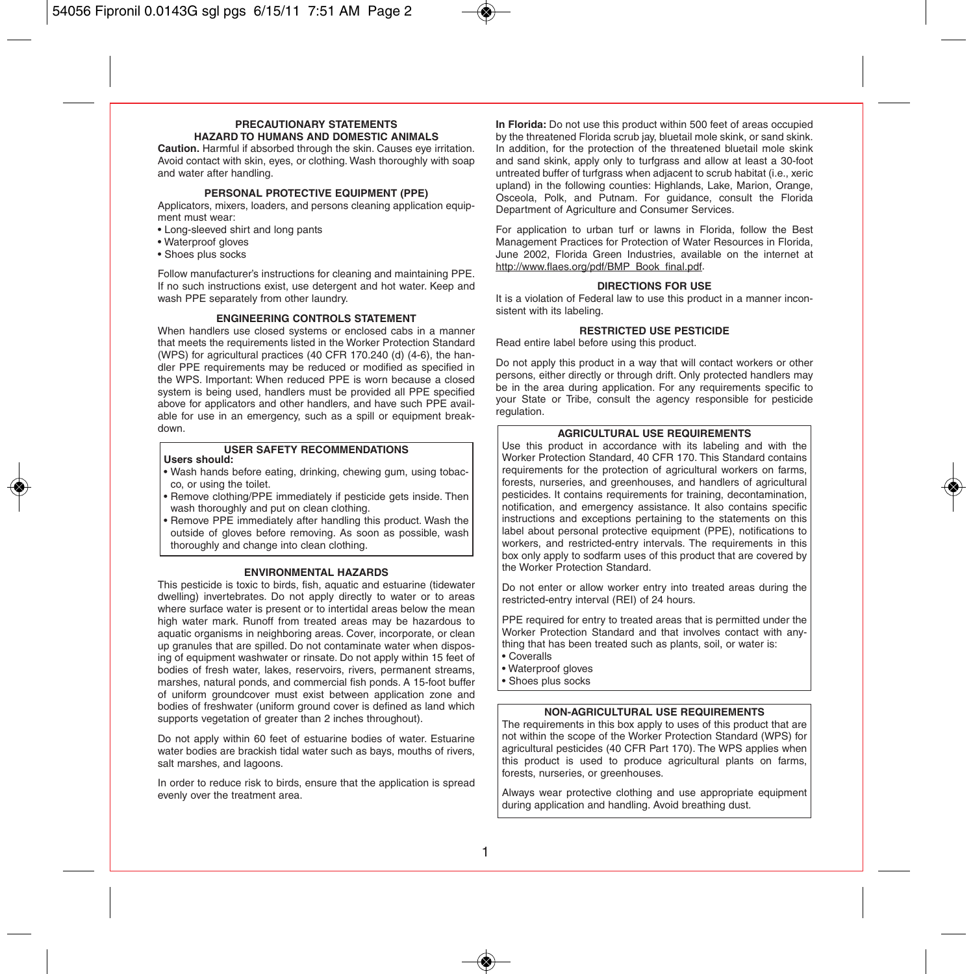#### **PRECAUTIONARY STATEMENTS HAZARD TO HUMANS AND DOMESTIC ANIMALS**

**Caution.** Harmful if absorbed through the skin. Causes eye irritation. Avoid contact with skin, eyes, or clothing. Wash thoroughly with soap and water after handling.

#### **PERSONAL PROTECTIVE EQUIPMENT (PPE)**

Applicators, mixers, loaders, and persons cleaning application equipment must wear:

- Long-sleeved shirt and long pants
- Waterproof gloves
- Shoes plus socks

Follow manufacturer's instructions for cleaning and maintaining PPE. If no such instructions exist, use detergent and hot water. Keep and wash PPE separately from other laundry.

#### **ENGINEERING CONTROLS STATEMENT**

When handlers use closed systems or enclosed cabs in a manner that meets the requirements listed in the Worker Protection Standard (WPS) for agricultural practices (40 CFR 170.240 (d) (4-6), the handler PPE requirements may be reduced or modified as specified in the WPS. Important: When reduced PPE is worn because a closed system is being used, handlers must be provided all PPE specified above for applicators and other handlers, and have such PPE available for use in an emergency, such as a spill or equipment breakdown.

## **USER SAFETY RECOMMENDATIONS Users should:**

- Wash hands before eating, drinking, chewing gum, using tobacco, or using the toilet.
- Remove clothing/PPE immediately if pesticide gets inside. Then wash thoroughly and put on clean clothing.

• Remove PPE immediately after handling this product. Wash the outside of gloves before removing. As soon as possible, wash thoroughly and change into clean clothing.

#### **ENVIRONMENTAL HAZARDS**

This pesticide is toxic to birds, fish, aquatic and estuarine (tidewater dwelling) invertebrates. Do not apply directly to water or to areas where surface water is present or to intertidal areas below the mean high water mark. Runoff from treated areas may be hazardous to aquatic organisms in neighboring areas. Cover, incorporate, or clean up granules that are spilled. Do not contaminate water when disposing of equipment washwater or rinsate. Do not apply within 15 feet of bodies of fresh water, lakes, reservoirs, rivers, permanent streams, marshes, natural ponds, and commercial fish ponds. A 15-foot buffer of uniform groundcover must exist between application zone and bodies of freshwater (uniform ground cover is defined as land which supports vegetation of greater than 2 inches throughout).

Do not apply within 60 feet of estuarine bodies of water. Estuarine water bodies are brackish tidal water such as bays, mouths of rivers, salt marshes, and lagoons.

In order to reduce risk to birds, ensure that the application is spread evenly over the treatment area.

**In Florida:** Do not use this product within 500 feet of areas occupied by the threatened Florida scrub jay, bluetail mole skink, or sand skink. In addition, for the protection of the threatened bluetail mole skink and sand skink, apply only to turfgrass and allow at least a 30-foot untreated buffer of turfgrass when adjacent to scrub habitat (i.e., xeric upland) in the following counties: Highlands, Lake, Marion, Orange, Osceola, Polk, and Putnam. For guidance, consult the Florida Department of Agriculture and Consumer Services.

For application to urban turf or lawns in Florida, follow the Best Management Practices for Protection of Water Resources in Florida, June 2002, Florida Green Industries, available on the internet at http://www.flaes.org/pdf/BMP\_Book\_final.pdf.

#### **DIRECTIONS FOR USE**

It is a violation of Federal law to use this product in a manner inconsistent with its labeling.

#### **RESTRICTED USE PESTICIDE**

Read entire label before using this product.

Do not apply this product in a way that will contact workers or other persons, either directly or through drift. Only protected handlers may be in the area during application. For any requirements specific to your State or Tribe, consult the agency responsible for pesticide regulation.

#### **AGRICULTURAL USE REQUIREMENTS**

Use this product in accordance with its labeling and with the Worker Protection Standard, 40 CFR 170. This Standard contains requirements for the protection of agricultural workers on farms, forests, nurseries, and greenhouses, and handlers of agricultural pesticides. It contains requirements for training, decontamination, notification, and emergency assistance. It also contains specific instructions and exceptions pertaining to the statements on this label about personal protective equipment (PPE), notifications to workers, and restricted-entry intervals. The requirements in this box only apply to sodfarm uses of this product that are covered by the Worker Protection Standard.

Do not enter or allow worker entry into treated areas during the restricted-entry interval (REI) of 24 hours.

PPE required for entry to treated areas that is permitted under the Worker Protection Standard and that involves contact with anything that has been treated such as plants, soil, or water is:

- Coveralls
- Waterproof gloves
- Shoes plus socks

#### **NON-AGRICULTURAL USE REQUIREMENTS**

The requirements in this box apply to uses of this product that are not within the scope of the Worker Protection Standard (WPS) for agricultural pesticides (40 CFR Part 170). The WPS applies when this product is used to produce agricultural plants on farms, forests, nurseries, or greenhouses.

Always wear protective clothing and use appropriate equipment during application and handling. Avoid breathing dust.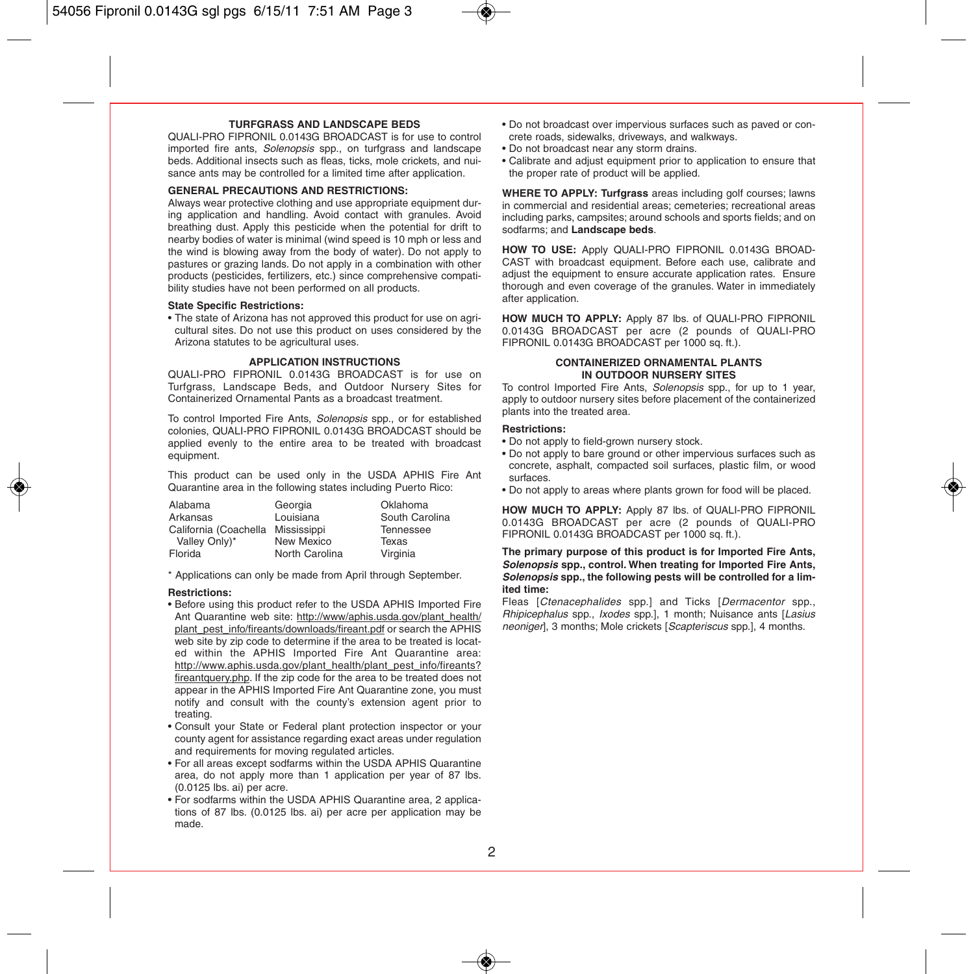#### **TURFGRASS AND LANDSCAPE BEDS**

QUALI-PRO FIPRONIL 0.0143G BROADCAST is for use to control imported fire ants. Solenopsis spp., on turfgrass and landscape beds. Additional insects such as fleas, ticks, mole crickets, and nuisance ants may be controlled for a limited time after application.

#### **GENERAL PRECAUTIONS AND RESTRICTIONS:**

Always wear protective clothing and use appropriate equipment during application and handling. Avoid contact with granules. Avoid breathing dust. Apply this pesticide when the potential for drift to nearby bodies of water is minimal (wind speed is 10 mph or less and the wind is blowing away from the body of water). Do not apply to pastures or grazing lands. Do not apply in a combination with other products (pesticides, fertilizers, etc.) since comprehensive compatibility studies have not been performed on all products.

#### **State Specific Restrictions:**

• The state of Arizona has not approved this product for use on agricultural sites. Do not use this product on uses considered by the Arizona statutes to be agricultural uses.

#### **APPLICATION INSTRUCTIONS**

QUALI-PRO FIPRONIL 0.0143G BROADCAST is for use on Turfgrass, Landscape Beds, and Outdoor Nursery Sites for Containerized Ornamental Pants as a broadcast treatment.

To control Imported Fire Ants, Solenopsis spp., or for established colonies, QUALI-PRO FIPRONIL 0.0143G BROADCAST should be applied evenly to the entire area to be treated with broadcast equipment.

This product can be used only in the USDA APHIS Fire Ant Quarantine area in the following states including Puerto Rico:

| Alabama               | Georgia        | Oklahoma       |
|-----------------------|----------------|----------------|
| Arkansas              | Louisiana      | South Carolina |
| California (Coachella | Mississippi    | Tennessee      |
| Valley Only)*         | New Mexico     | Texas          |
| Florida               | North Carolina | Virginia       |

\* Applications can only be made from April through September.

#### **Restrictions:**

- Before using this product refer to the USDA APHIS Imported Fire Ant Quarantine web site: http://www/aphis.usda.gov/plant\_health/ plant\_pest\_info/fireants/downloads/fireant.pdf or search the APHIS web site by zip code to determine if the area to be treated is located within the APHIS Imported Fire Ant Quarantine area: http://www.aphis.usda.gov/plant\_health/plant\_pest\_info/fireants? fireantquery.php. If the zip code for the area to be treated does not appear in the APHIS Imported Fire Ant Quarantine zone, you must notify and consult with the county's extension agent prior to treating.
- Consult your State or Federal plant protection inspector or your county agent for assistance regarding exact areas under regulation and requirements for moving regulated articles.
- For all areas except sodfarms within the USDA APHIS Quarantine area, do not apply more than 1 application per year of 87 lbs. (0.0125 lbs. ai) per acre.
- For sodfarms within the USDA APHIS Quarantine area, 2 applications of 87 lbs. (0.0125 lbs. ai) per acre per application may be made.
- Do not broadcast over impervious surfaces such as paved or concrete roads, sidewalks, driveways, and walkways.
- Do not broadcast near any storm drains.
- Calibrate and adjust equipment prior to application to ensure that the proper rate of product will be applied.

**WHERE TO APPLY: Turfgrass** areas including golf courses; lawns in commercial and residential areas; cemeteries; recreational areas including parks, campsites; around schools and sports fields; and on sodfarms; and **Landscape beds**.

**HOW TO USE:** Apply QUALI-PRO FIPRONIL 0.0143G BROAD-CAST with broadcast equipment. Before each use, calibrate and adjust the equipment to ensure accurate application rates. Ensure thorough and even coverage of the granules. Water in immediately after application.

**HOW MUCH TO APPLY:** Apply 87 lbs. of QUALI-PRO FIPRONIL 0.0143G BROADCAST per acre (2 pounds of QUALI-PRO FIPRONIL 0.0143G BROADCAST per 1000 sq. ft.).

#### **CONTAINERIZED ORNAMENTAL PLANTS IN OUTDOOR NURSERY SITES**

To control Imported Fire Ants, Solenopsis spp., for up to 1 year, apply to outdoor nursery sites before placement of the containerized plants into the treated area.

#### **Restrictions:**

- Do not apply to field-grown nursery stock.
- Do not apply to bare ground or other impervious surfaces such as concrete, asphalt, compacted soil surfaces, plastic film, or wood surfaces.
- Do not apply to areas where plants grown for food will be placed.

**HOW MUCH TO APPLY:** Apply 87 lbs. of QUALI-PRO FIPRONIL 0.0143G BROADCAST per acre (2 pounds of QUALI-PRO FIPRONIL 0.0143G BROADCAST per 1000 sq. ft.).

#### **The primary purpose of this product is for Imported Fire Ants, Solenopsis spp., control. When treating for Imported Fire Ants, Solenopsis spp., the following pests will be controlled for a limited time:**

Fleas *[Ctenacephalides spp.]* and Ticks *[Dermacentor spp.,* Rhipicephalus spp., Ixodes spp.], 1 month; Nuisance ants [Lasius neoniger], 3 months; Mole crickets [Scapteriscus spp.], 4 months.